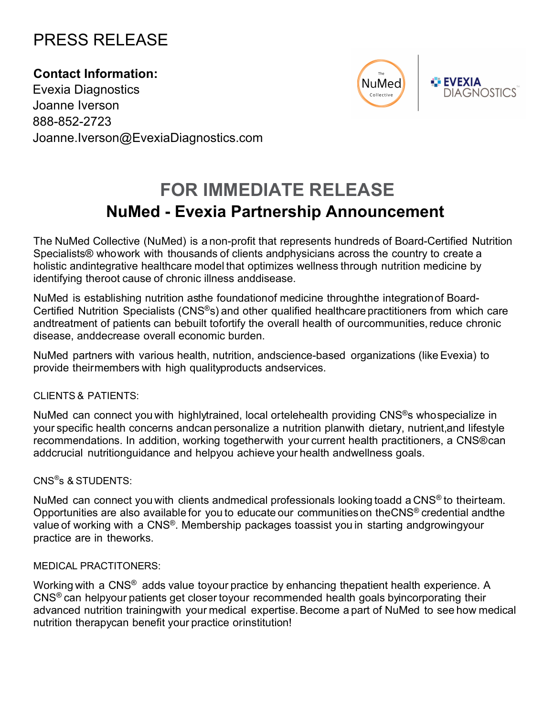# PRESS RELEASE

**Contact Information:** Evexia Diagnostics Joanne Iverson 888-852-2723 Joanne.Iverson@EvexiaDiagnostics.com



**EVEXIA DIAGNOSTICS** 

# **FOR IMMEDIATE RELEASE NuMed - Evexia Partnership Announcement**

The NuMed Collective (NuMed) is a non-profit that represents hundreds of Board-Certified Nutrition Specialists® whowork with thousands of clients andphysicians across the country to create a holistic andintegrative healthcare model that optimizes wellness through nutrition medicine by identifying theroot cause of chronic illness anddisease.

NuMed is establishing nutrition asthe foundationof medicine throughthe integrationof Board-Certified Nutrition Specialists (CNS®s) and other qualified healthcare practitioners from which care andtreatment of patients can bebuilt tofortify the overall health of ourcommunities, reduce chronic disease, anddecrease overall economic burden.

NuMed partners with various health, nutrition, andscience-based organizations (like Evexia) to provide theirmembers with high qualityproducts andservices.

# CLIENTS & PATIENTS:

NuMed can connect you with highlytrained, local ortelehealth providing CNS<sup>®</sup>s whospecialize in your specific health concerns andcan personalize a nutrition planwith dietary, nutrient,and lifestyle recommendations. In addition, working togetherwith your current health practitioners, a CNS®can addcrucial nutritionguidance and helpyou achieve your health andwellness goals.

# CNS® s & STUDENTS:

NuMed can connect you with clients andmedical professionals looking toadd a CNS<sup>®</sup> to theirteam. Opportunities are also available for you to educate our communities on theCNS® credential andthe value of working with a CNS®. Membership packages toassist you in starting andgrowingyour practice are in theworks.

# MEDICAL PRACTITONERS:

Working with a CNS<sup>®</sup> adds value toyour practice by enhancing thepatient health experience. A CNS® can helpyour patients get closer toyour recommended health goals byincorporating their advanced nutrition trainingwith your medical expertise. Become a part of NuMed to see how medical nutrition therapycan benefit your practice orinstitution!